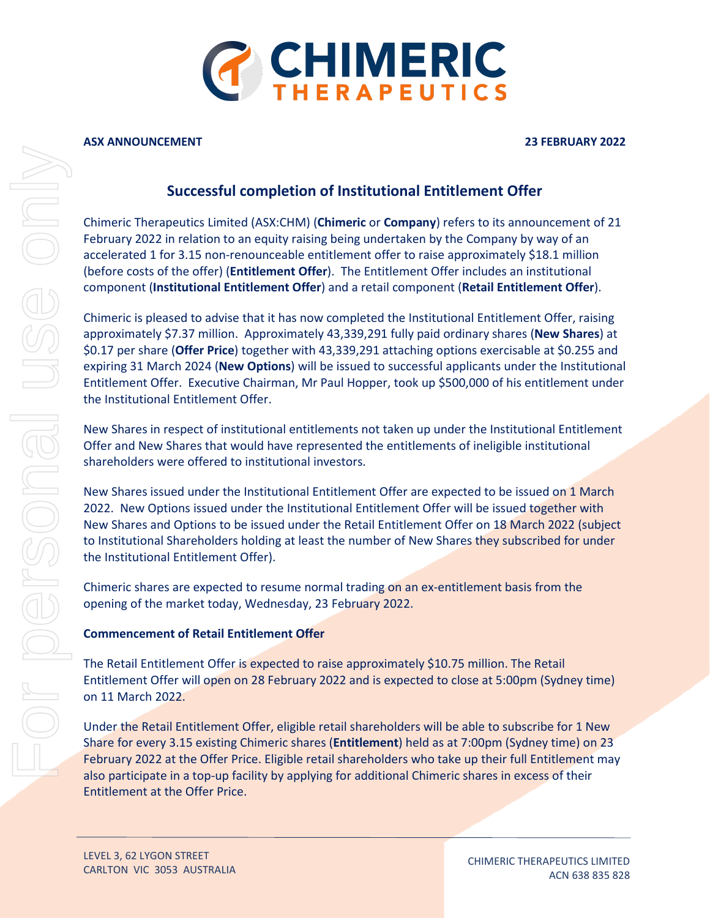

## **ASX ANNOUNCEMENT 23 FEBRUARY 2022**

## **Successful completion of Institutional Entitlement Offer**

Chimeric Therapeutics Limited (ASX:CHM) (**Chimeric** or **Company**) refers to its announcement of 21 February 2022 in relation to an equity raising being undertaken by the Company by way of an accelerated 1 for 3.15 non-renounceable entitlement offer to raise approximately \$18.1 million (before costs of the offer) (**Entitlement Offer**). The Entitlement Offer includes an institutional component (**Institutional Entitlement Offer**) and a retail component (**Retail Entitlement Offer**).

Chimeric is pleased to advise that it has now completed the Institutional Entitlement Offer, raising approximately \$7.37 million. Approximately 43,339,291 fully paid ordinary shares (**New Shares**) at \$0.17 per share (**Offer Price**) together with 43,339,291 attaching options exercisable at \$0.255 and expiring 31 March 2024 (**New Options**) will be issued to successful applicants under the Institutional Entitlement Offer. Executive Chairman, Mr Paul Hopper, took up \$500,000 of his entitlement under the Institutional Entitlement Offer.

New Shares in respect of institutional entitlements not taken up under the Institutional Entitlement Offer and New Shares that would have represented the entitlements of ineligible institutional shareholders were offered to institutional investors.

New Shares issued under the Institutional Entitlement Offer are expected to be issued on 1 March 2022. New Options issued under the Institutional Entitlement Offer will be issued together with New Shares and Options to be issued under the Retail Entitlement Offer on 18 March 2022 (subject to Institutional Shareholders holding at least the number of New Shares they subscribed for under the Institutional Entitlement Offer).

Chimeric shares are expected to resume normal trading on an ex-entitlement basis from the opening of the market today, Wednesday, 23 February 2022.

## **Commencement of Retail Entitlement Offer**

The Retail Entitlement Offer is expected to raise approximately \$10.75 million. The Retail Entitlement Offer will open on 28 February 2022 and is expected to close at 5:00pm (Sydney time) on 11 March 2022.

Under the Retail Entitlement Offer, eligible retail shareholders will be able to subscribe for 1 New Share for every 3.15 existing Chimeric shares (**Entitlement**) held as at 7:00pm (Sydney time) on 23 February 2022 at the Offer Price. Eligible retail shareholders who take up their full Entitlement may also participate in a top-up facility by applying for additional Chimeric shares in excess of their Entitlement at the Offer Price.